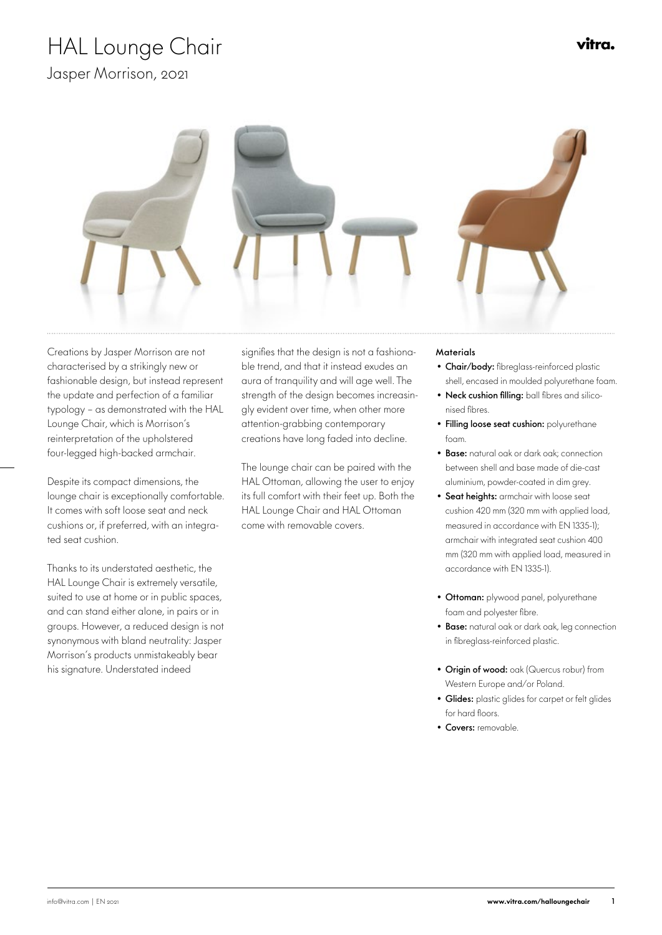# HAL Lounge Chair

Jasper Morrison, 2021



 Creations by Jasper Morrison are not characterised by a strikingly new or fashionable design, but instead represent the update and perfection of a familiar typology – as demonstrated with the HAL Lounge Chair, which is Morrison's reinterpretation of the upholstered four-legged high-backed armchair.

Despite its compact dimensions, the lounge chair is exceptionally comfortable. It comes with soft loose seat and neck cushions or, if preferred, with an integrated seat cushion.

Thanks to its understated aesthetic, the HAL Lounge Chair is extremely versatile, suited to use at home or in public spaces, and can stand either alone, in pairs or in groups. However, a reduced design is not synonymous with bland neutrality: Jasper Morrison's products unmistakeably bear his signature. Understated indeed

signifies that the design is not a fashiona- Materials ble trend, and that it instead exudes an aura of tranquility and will age well. The strength of the design becomes increasingly evident over time, when other more attention-grabbing contemporary creations have long faded into decline.

The lounge chair can be paired with the HAL Ottoman, allowing the user to enjoy its full comfort with their feet up. Both the HAL Lounge Chair and HAL Ottoman come with removable covers.

- Chair/body: fibreglass-reinforced plastic shell, encased in moulded polyurethane foam.
- Neck cushion filling: ball fibres and siliconised fi bres.
- Filling loose seat cushion: polyurethane foam.
- Base: natural oak or dark oak; connection between shell and base made of die-cast aluminium, powder-coated in dim grey.
- Seat heights: armchair with loose seat cushion 420 mm (320 mm with applied load, measured in accordance with EN 1335-1); armchair with integrated seat cushion 400 mm (320 mm with applied load, measured in accordance with EN 1335-1).
- Ottoman: plywood panel, polyurethane foam and polyester fibre.
- Base: natural oak or dark oak, leg connection in fibreglass-reinforced plastic.
- Origin of wood: oak (Quercus robur) from Western Europe and/or Poland.
- Glides: plastic glides for carpet or felt glides for hard floors.
- Covers: removable.

vitra.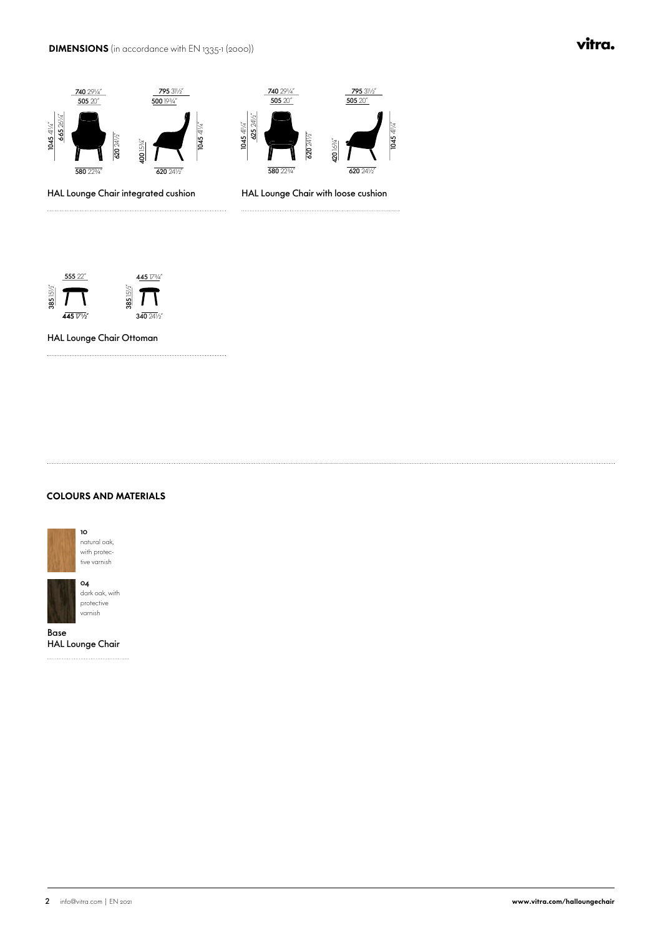#### DIMENSIONS (in accordance with EN 1335-1 (2000))

#### vitra.



HAL Lounge Chair integrated cushion

HAL Lounge Chair with loose cushion



HAL Lounge Chair Ottoman

#### COLOURS AND MATERIALS



Base HAL Lounge Chair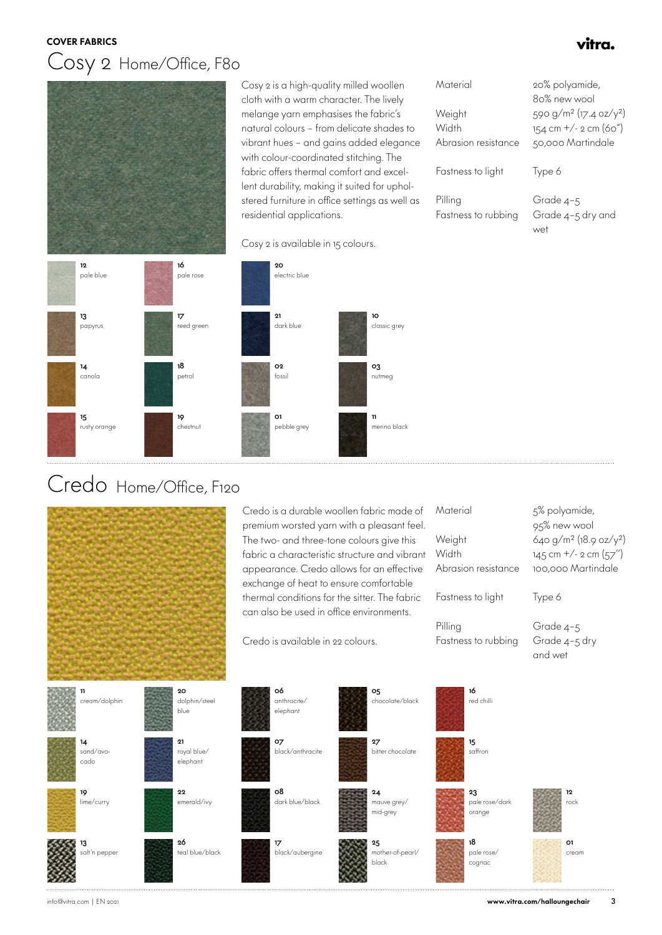#### COVER FABRICS

### Cosy 2 Home/Office, F80



 Cosy 2 is a high-quality milled woollen cloth with a warm character. The lively melange yarn emphasises the fabric's natural colours – from delicate shades to vibrant hues – and gains added elegance with colour-coordinated stitching. The fabric offers thermal comfort and excellent durability, making it suited for upholstered furniture in office settings as well as residential applications.

| Material                       | 20% polyamide,                                 |
|--------------------------------|------------------------------------------------|
|                                | 80% new wool                                   |
| Weight                         | 590 g/m <sup>2</sup> (17.4 oz/y <sup>2</sup> ) |
| Width                          | $154$ cm $+/- 2$ cm (60")                      |
| Abrasion resistance            | 50,000 Martindale                              |
| Fastness to light              | Type 6                                         |
| Pilling<br>Fastness to rubbing | Grade 4-5<br>Grade 4-5 dry and                 |

wet

vitra.



Cosy 2 is available in 15 colours.



### Credo Home/Office, F120



 Credo is a durable woollen fabric made of premium worsted yarn with a pleasant feel. The two- and three-tone colours give this fabric a characteristic structure and vibrant appearance. Credo allows for an effective exchange of heat to ensure comfortable thermal conditions for the sitter. The fabric can also be used in office environments.

Credo is available in 22 colours.

| Material<br>Weight<br>Width<br>Abrasion resistance | 5% polyamide,<br>95% new wool<br>640 $g/m^2$ (18.9 oz/y <sup>2</sup> )<br>$145$ cm $+/-$ 2 cm (57")<br>100.000 Martindale |
|----------------------------------------------------|---------------------------------------------------------------------------------------------------------------------------|
| Fastness to light                                  | Type 6                                                                                                                    |
| Pilling<br>Fastness to rubbing                     | Grade 4-5<br>Grade 4-5 dry<br>and wet                                                                                     |
| 16<br>red chilli                                   |                                                                                                                           |

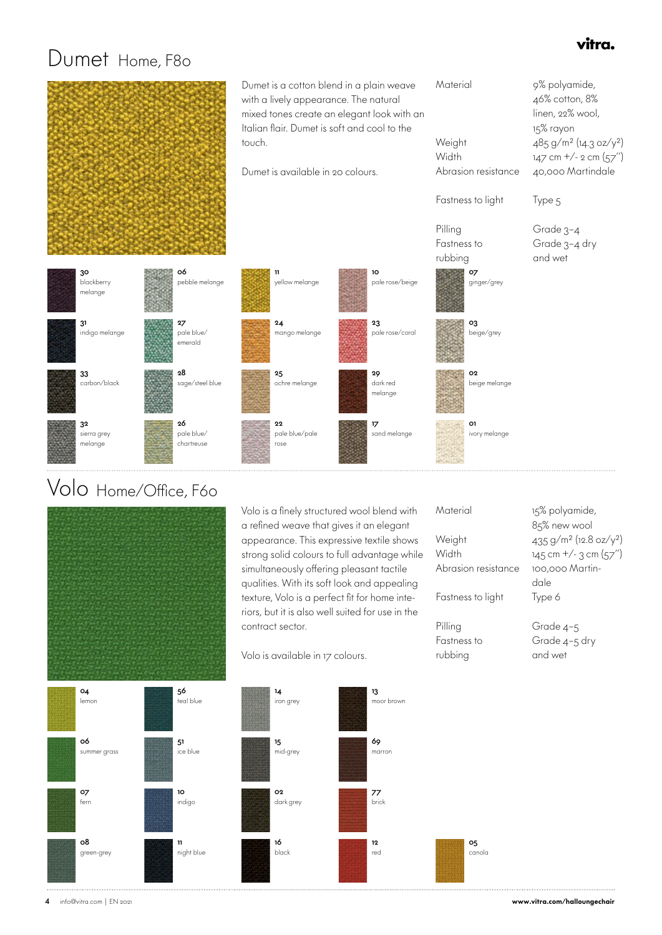### vitra.

### Dumet Home, F80



### Volo Home/Office, F60



 56 -<br>teal blue

 51 ice blue

 10 indigo

 11 night blue Volo is a finely structured wool blend with a refined weave that gives it an elegant appearance. This expressive textile shows strong solid colours to full advantage while simultaneously offering pleasant tactile qualities. With its soft look and appealing texture, Volo is a perfect fit for home interiors, but it is also well suited for use in the contract sector.

Volo is available in 17 colours.



**Material** 

| 85% new wool                          |
|---------------------------------------|
| 435 $g/m^2$ (12.8 oz/y <sup>2</sup> ) |
| $145$ cm $+/-$ 3 cm $(57'')$          |
| 100,000 Martin-                       |
| dale                                  |
| Type 6                                |
| Grade 4-5                             |
| Grade 4-5 dry                         |
| and wet                               |
|                                       |

15% polyamide,



 04 lemon

4 info@vitra.com | EN 2021 www.vitra.com/halloungechair